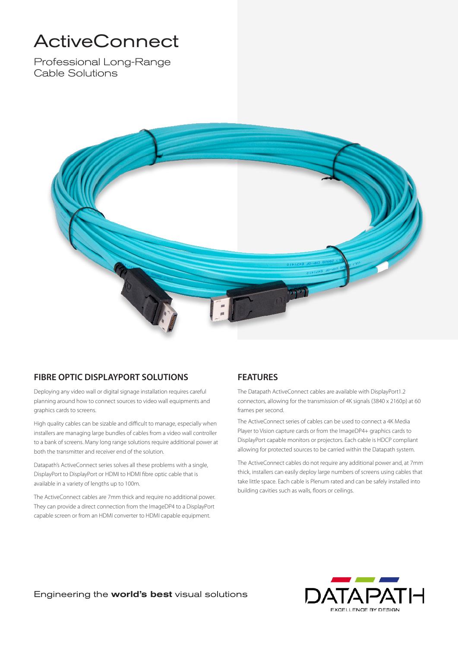# ActiveConnect

Professional Long-Range Cable Solutions



#### **FIBRE OPTIC DISPLAYPORT SOLUTIONS**

Deploying any video wall or digital signage installation requires careful planning around how to connect sources to video wall equipments and graphics cards to screens.

High quality cables can be sizable and difficult to manage, especially when installers are managing large bundles of cables from a video wall controller to a bank of screens. Many long range solutions require additional power at both the transmitter and receiver end of the solution.

Datapath's ActiveConnect series solves all these problems with a single, DisplayPort to DisplayPort or HDMI to HDMI fibre optic cable that is available in a variety of lengths up to 100m.

The ActiveConnect cables are 7mm thick and require no additional power. They can provide a direct connection from the ImageDP4 to a DisplayPort capable screen or from an HDMI converter to HDMI capable equipment.

### **FEATURES**

The Datapath ActiveConnect cables are available with DisplayPort1.2 connectors, allowing for the transmission of 4K signals (3840 x 2160p) at 60 frames per second.

The ActiveConnect series of cables can be used to connect a 4K Media Player to Vision capture cards or from the ImageDP4+ graphics cards to DisplayPort capable monitors or projectors. Each cable is HDCP compliant allowing for protected sources to be carried within the Datapath system.

The ActiveConnect cables do not require any additional power and, at 7mm thick, installers can easily deploy large numbers of screens using cables that take little space. Each cable is Plenum rated and can be safely installed into building cavities such as walls, floors or ceilings.